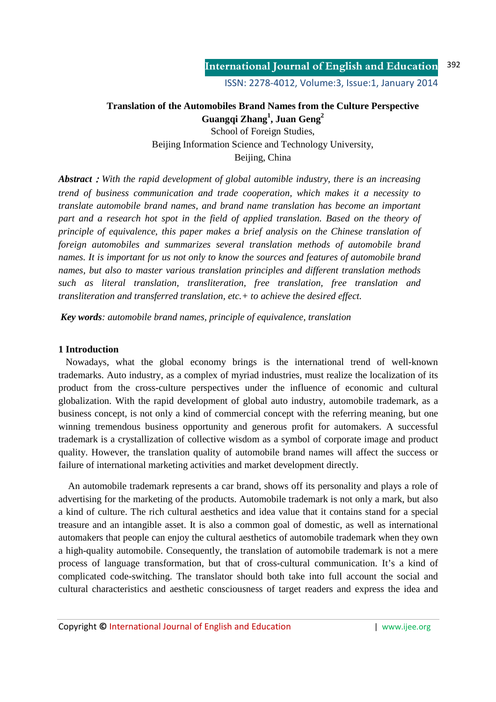ISSN: 2278-4012, Volume:3, Issue:1, January 2014

# **Translation of the Automobiles Brand Names from the Culture Perspective Guangqi Zhang<sup>1</sup> , Juan Geng<sup>2</sup>**

School of Foreign Studies, Beijing Information Science and Technology University, Beijing, China

*Abstract*:*With the rapid development of global automible industry, there is an increasing trend of business communication and trade cooperation, which makes it a necessity to translate automobile brand names, and brand name translation has become an important part and a research hot spot in the field of applied translation. Based on the theory of principle of equivalence, this paper makes a brief analysis on the Chinese translation of foreign automobiles and summarizes several translation methods of automobile brand names. It is important for us not only to know the sources and features of automobile brand names, but also to master various translation principles and different translation methods such as literal translation, transliteration, free translation, free translation and transliteration and transferred translation, etc.+ to achieve the desired effect.* 

*Key words: automobile brand names, principle of equivalence, translation* 

#### **1 Introduction**

 Nowadays, what the global economy brings is the international trend of well-known trademarks. Auto industry, as a complex of myriad industries, must realize the localization of its product from the cross-culture perspectives under the influence of economic and cultural globalization. With the rapid development of global auto industry, automobile trademark, as a business concept, is not only a kind of commercial concept with the referring meaning, but one winning tremendous business opportunity and generous profit for automakers. A successful trademark is a crystallization of collective wisdom as a symbol of corporate image and product quality. However, the translation quality of automobile brand names will affect the success or failure of international marketing activities and market development directly.

 An automobile trademark represents a car brand, shows off its personality and plays a role of advertising for the marketing of the products. Automobile trademark is not only a mark, but also a kind of culture. The rich cultural aesthetics and idea value that it contains stand for a special treasure and an intangible asset. It is also a common goal of domestic, as well as international automakers that people can enjoy the cultural aesthetics of automobile trademark when they own a high-quality automobile. Consequently, the translation of automobile trademark is not a mere process of language transformation, but that of cross-cultural communication. It's a kind of complicated code-switching. The translator should both take into full account the social and cultural characteristics and aesthetic consciousness of target readers and express the idea and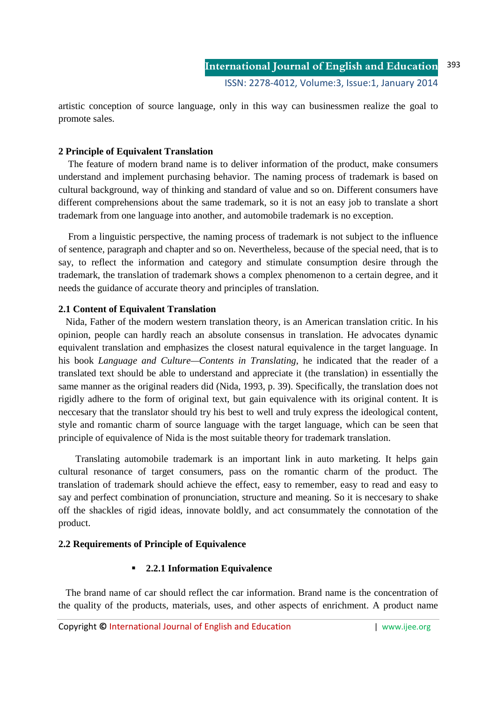artistic conception of source language, only in this way can businessmen realize the goal to promote sales.

# **2 Principle of Equivalent Translation**

 The feature of modern brand name is to deliver information of the product, make consumers understand and implement purchasing behavior. The naming process of trademark is based on cultural background, way of thinking and standard of value and so on. Different consumers have different comprehensions about the same trademark, so it is not an easy job to translate a short trademark from one language into another, and automobile trademark is no exception.

 From a linguistic perspective, the naming process of trademark is not subject to the influence of sentence, paragraph and chapter and so on. Nevertheless, because of the special need, that is to say, to reflect the information and category and stimulate consumption desire through the trademark, the translation of trademark shows a complex phenomenon to a certain degree, and it needs the guidance of accurate theory and principles of translation.

# **2.1 Content of Equivalent Translation**

 Nida, Father of the modern western translation theory, is an American translation critic. In his opinion, people can hardly reach an absolute consensus in translation. He advocates dynamic equivalent translation and emphasizes the closest natural equivalence in the target language. In his book *Language and Culture—Contents in Translating*, he indicated that the reader of a translated text should be able to understand and appreciate it (the translation) in essentially the same manner as the original readers did (Nida, 1993, p. 39). Specifically, the translation does not rigidly adhere to the form of original text, but gain equivalence with its original content. It is neccesary that the translator should try his best to well and truly express the ideological content, style and romantic charm of source language with the target language, which can be seen that principle of equivalence of Nida is the most suitable theory for trademark translation.

Translating automobile trademark is an important link in auto marketing. It helps gain cultural resonance of target consumers, pass on the romantic charm of the product. The translation of trademark should achieve the effect, easy to remember, easy to read and easy to say and perfect combination of pronunciation, structure and meaning. So it is neccesary to shake off the shackles of rigid ideas, innovate boldly, and act consummately the connotation of the product.

# **2.2 Requirements of Principle of Equivalence**

# **2.2.1 Information Equivalence**

 The brand name of car should reflect the car information. Brand name is the concentration of the quality of the products, materials, uses, and other aspects of enrichment. A product name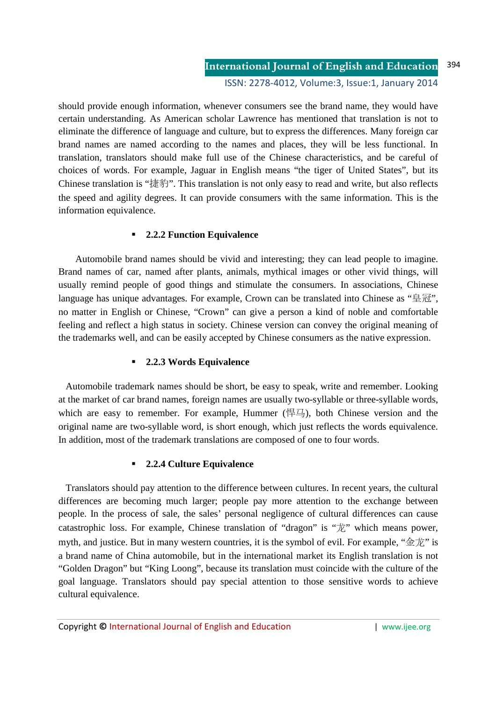should provide enough information, whenever consumers see the brand name, they would have certain understanding. As American scholar Lawrence has mentioned that translation is not to eliminate the difference of language and culture, but to express the differences. Many foreign car brand names are named according to the names and places, they will be less functional. In translation, translators should make full use of the Chinese characteristics, and be careful of choices of words. For example, Jaguar in English means "the tiger of United States", but its Chinese translation is "捷豹". This translation is not only easy to read and write, but also reflects the speed and agility degrees. It can provide consumers with the same information. This is the information equivalence.

# **2.2.2 Function Equivalence**

Automobile brand names should be vivid and interesting; they can lead people to imagine. Brand names of car, named after plants, animals, mythical images or other vivid things, will usually remind people of good things and stimulate the consumers. In associations, Chinese language has unique advantages. For example, Crown can be translated into Chinese as "皇冠", no matter in English or Chinese, "Crown" can give a person a kind of noble and comfortable feeling and reflect a high status in society. Chinese version can convey the original meaning of the trademarks well, and can be easily accepted by Chinese consumers as the native expression.

# **2.2.3 Words Equivalence**

 Automobile trademark names should be short, be easy to speak, write and remember. Looking at the market of car brand names, foreign names are usually two-syllable or three-syllable words, which are easy to remember. For example, Hummer ( $\left(\frac{1}{2}, 0\right)$ , both Chinese version and the original name are two-syllable word, is short enough, which just reflects the words equivalence. In addition, most of the trademark translations are composed of one to four words.

# **2.2.4 Culture Equivalence**

 Translators should pay attention to the difference between cultures. In recent years, the cultural differences are becoming much larger; people pay more attention to the exchange between people. In the process of sale, the sales' personal negligence of cultural differences can cause catastrophic loss. For example, Chinese translation of "dragon" is "龙" which means power, myth, and justice. But in many western countries, it is the symbol of evil. For example, " $\hat{\otimes} \vec{\psi}$ " is a brand name of China automobile, but in the international market its English translation is not "Golden Dragon" but "King Loong", because its translation must coincide with the culture of the goal language. Translators should pay special attention to those sensitive words to achieve cultural equivalence.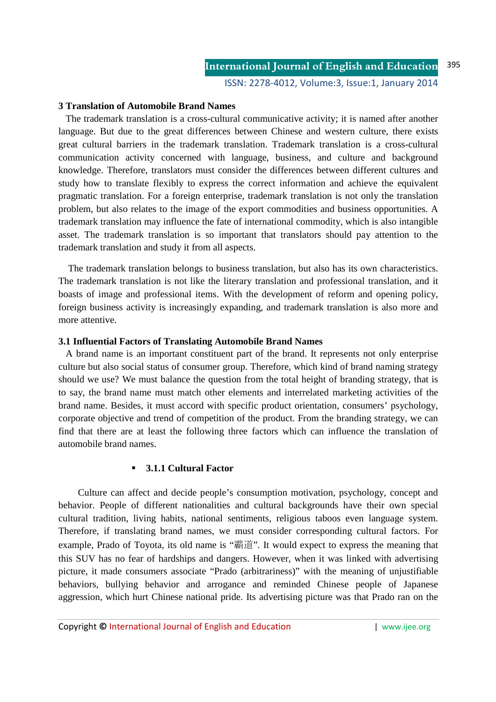ISSN: 2278-4012, Volume:3, Issue:1, January 2014

#### **3 Translation of Automobile Brand Names**

 The trademark translation is a cross-cultural communicative activity; it is named after another language. But due to the great differences between Chinese and western culture, there exists great cultural barriers in the trademark translation. Trademark translation is a cross-cultural communication activity concerned with language, business, and culture and background knowledge. Therefore, translators must consider the differences between different cultures and study how to translate flexibly to express the correct information and achieve the equivalent pragmatic translation. For a foreign enterprise, trademark translation is not only the translation problem, but also relates to the image of the export commodities and business opportunities. A trademark translation may influence the fate of international commodity, which is also intangible asset. The trademark translation is so important that translators should pay attention to the trademark translation and study it from all aspects.

 The trademark translation belongs to business translation, but also has its own characteristics. The trademark translation is not like the literary translation and professional translation, and it boasts of image and professional items. With the development of reform and opening policy, foreign business activity is increasingly expanding, and trademark translation is also more and more attentive.

#### **3.1 Influential Factors of Translating Automobile Brand Names**

 A brand name is an important constituent part of the brand. It represents not only enterprise culture but also social status of consumer group. Therefore, which kind of brand naming strategy should we use? We must balance the question from the total height of branding strategy, that is to say, the brand name must match other elements and interrelated marketing activities of the brand name. Besides, it must accord with specific product orientation, consumers' psychology, corporate objective and trend of competition of the product. From the branding strategy, we can find that there are at least the following three factors which can influence the translation of automobile brand names.

#### **3.1.1 Cultural Factor**

Culture can affect and decide people's consumption motivation, psychology, concept and behavior. People of different nationalities and cultural backgrounds have their own special cultural tradition, living habits, national sentiments, religious taboos even language system. Therefore, if translating brand names, we must consider corresponding cultural factors. For example, Prado of Toyota, its old name is "霸道". It would expect to express the meaning that this SUV has no fear of hardships and dangers. However, when it was linked with advertising picture, it made consumers associate "Prado (arbitrariness)" with the meaning of unjustifiable behaviors, bullying behavior and arrogance and reminded Chinese people of Japanese aggression, which hurt Chinese national pride. Its advertising picture was that Prado ran on the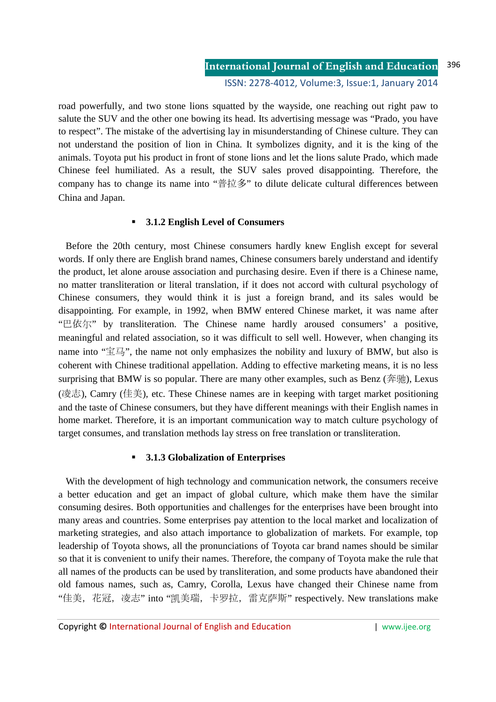road powerfully, and two stone lions squatted by the wayside, one reaching out right paw to salute the SUV and the other one bowing its head. Its advertising message was "Prado, you have to respect". The mistake of the advertising lay in misunderstanding of Chinese culture. They can not understand the position of lion in China. It symbolizes dignity, and it is the king of the animals. Toyota put his product in front of stone lions and let the lions salute Prado, which made Chinese feel humiliated. As a result, the SUV sales proved disappointing. Therefore, the company has to change its name into "普拉多" to dilute delicate cultural differences between China and Japan.

#### **3.1.2 English Level of Consumers**

 Before the 20th century, most Chinese consumers hardly knew English except for several words. If only there are English brand names, Chinese consumers barely understand and identify the product, let alone arouse association and purchasing desire. Even if there is a Chinese name, no matter transliteration or literal translation, if it does not accord with cultural psychology of Chinese consumers, they would think it is just a foreign brand, and its sales would be disappointing. For example, in 1992, when BMW entered Chinese market, it was name after "巴依尔" by transliteration. The Chinese name hardly aroused consumers' a positive, meaningful and related association, so it was difficult to sell well. However, when changing its name into " $\mathbb{E}\boxdot$ ", the name not only emphasizes the nobility and luxury of BMW, but also is coherent with Chinese traditional appellation. Adding to effective marketing means, it is no less surprising that BMW is so popular. There are many other examples, such as Benz ( $\hat{\mathcal{F}}$   $\hat{\mathcal{F}}$ ), Lexus (凌志), Camry (佳美), etc. These Chinese names are in keeping with target market positioning and the taste of Chinese consumers, but they have different meanings with their English names in home market. Therefore, it is an important communication way to match culture psychology of target consumes, and translation methods lay stress on free translation or transliteration.

#### **3.1.3 Globalization of Enterprises**

 With the development of high technology and communication network, the consumers receive a better education and get an impact of global culture, which make them have the similar consuming desires. Both opportunities and challenges for the enterprises have been brought into many areas and countries. Some enterprises pay attention to the local market and localization of marketing strategies, and also attach importance to globalization of markets. For example, top leadership of Toyota shows, all the pronunciations of Toyota car brand names should be similar so that it is convenient to unify their names. Therefore, the company of Toyota make the rule that all names of the products can be used by transliteration, and some products have abandoned their old famous names, such as, Camry, Corolla, Lexus have changed their Chinese name from "佳美,花冠,凌志" into "凯美瑞,卡罗拉,雷克萨斯" respectively. New translations make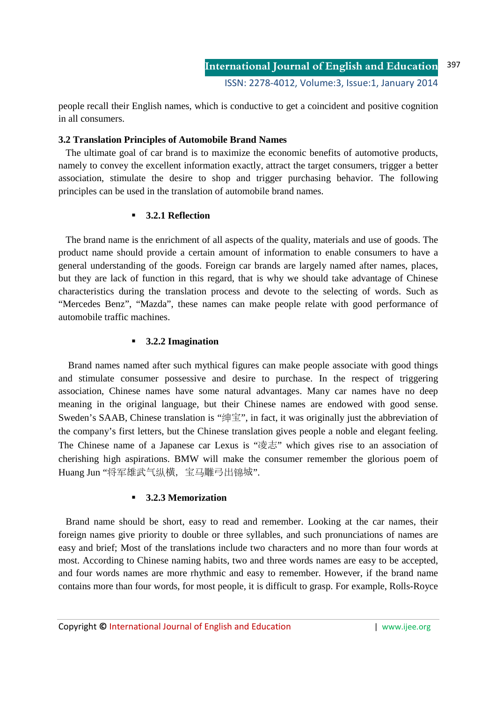people recall their English names, which is conductive to get a coincident and positive cognition in all consumers.

# **3.2 Translation Principles of Automobile Brand Names**

 The ultimate goal of car brand is to maximize the economic benefits of automotive products, namely to convey the excellent information exactly, attract the target consumers, trigger a better association, stimulate the desire to shop and trigger purchasing behavior. The following principles can be used in the translation of automobile brand names.

# **3.2.1 Reflection**

 The brand name is the enrichment of all aspects of the quality, materials and use of goods. The product name should provide a certain amount of information to enable consumers to have a general understanding of the goods. Foreign car brands are largely named after names, places, but they are lack of function in this regard, that is why we should take advantage of Chinese characteristics during the translation process and devote to the selecting of words. Such as "Mercedes Benz", "Mazda", these names can make people relate with good performance of automobile traffic machines.

# **3.2.2 Imagination**

 Brand names named after such mythical figures can make people associate with good things and stimulate consumer possessive and desire to purchase. In the respect of triggering association, Chinese names have some natural advantages. Many car names have no deep meaning in the original language, but their Chinese names are endowed with good sense. Sweden's SAAB, Chinese translation is "绅宝", in fact, it was originally just the abbreviation of the company's first letters, but the Chinese translation gives people a noble and elegant feeling. The Chinese name of a Japanese car Lexus is "凌志" which gives rise to an association of cherishing high aspirations. BMW will make the consumer remember the glorious poem of Huang Jun "将军雄武气纵横, 宝马雕弓出锦城".

# **3.2.3 Memorization**

 Brand name should be short, easy to read and remember. Looking at the car names, their foreign names give priority to double or three syllables, and such pronunciations of names are easy and brief; Most of the translations include two characters and no more than four words at most. According to Chinese naming habits, two and three words names are easy to be accepted, and four words names are more rhythmic and easy to remember. However, if the brand name contains more than four words, for most people, it is difficult to grasp. For example, Rolls-Royce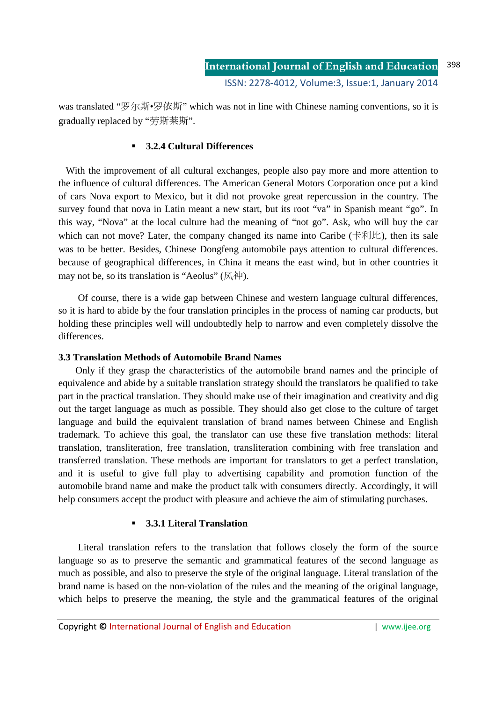was translated "罗尔斯•罗依斯" which was not in line with Chinese naming conventions, so it is gradually replaced by "劳斯莱斯".

#### **3.2.4 Cultural Differences**

 With the improvement of all cultural exchanges, people also pay more and more attention to the influence of cultural differences. The American General Motors Corporation once put a kind of cars Nova export to Mexico, but it did not provoke great repercussion in the country. The survey found that nova in Latin meant a new start, but its root "va" in Spanish meant "go". In this way, "Nova" at the local culture had the meaning of "not go". Ask, who will buy the car which can not move? Later, the company changed its name into Caribe ( $\pm \frac{1}{2}$ ), then its sale was to be better. Besides, Chinese Dongfeng automobile pays attention to cultural differences. because of geographical differences, in China it means the east wind, but in other countries it may not be, so its translation is "Aeolus" (风神).

Of course, there is a wide gap between Chinese and western language cultural differences, so it is hard to abide by the four translation principles in the process of naming car products, but holding these principles well will undoubtedly help to narrow and even completely dissolve the differences.

# **3.3 Translation Methods of Automobile Brand Names**

Only if they grasp the characteristics of the automobile brand names and the principle of equivalence and abide by a suitable translation strategy should the translators be qualified to take part in the practical translation. They should make use of their imagination and creativity and dig out the target language as much as possible. They should also get close to the culture of target language and build the equivalent translation of brand names between Chinese and English trademark. To achieve this goal, the translator can use these five translation methods: literal translation, transliteration, free translation, transliteration combining with free translation and transferred translation. These methods are important for translators to get a perfect translation, and it is useful to give full play to advertising capability and promotion function of the automobile brand name and make the product talk with consumers directly. Accordingly, it will help consumers accept the product with pleasure and achieve the aim of stimulating purchases.

# **3.3.1 Literal Translation**

Literal translation refers to the translation that follows closely the form of the source language so as to preserve the semantic and grammatical features of the second language as much as possible, and also to preserve the style of the original language. Literal translation of the brand name is based on the non-violation of the rules and the meaning of the original language, which helps to preserve the meaning, the style and the grammatical features of the original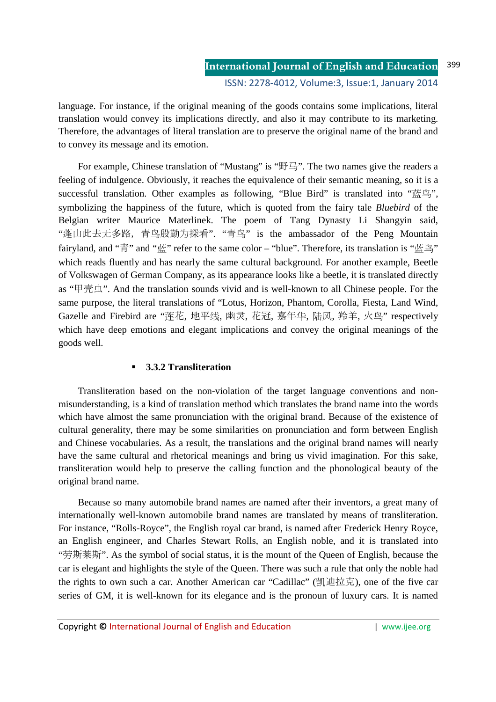language. For instance, if the original meaning of the goods contains some implications, literal translation would convey its implications directly, and also it may contribute to its marketing. Therefore, the advantages of literal translation are to preserve the original name of the brand and to convey its message and its emotion.

For example, Chinese translation of "Mustang" is "野马". The two names give the readers a feeling of indulgence. Obviously, it reaches the equivalence of their semantic meaning, so it is a successful translation. Other examples as following, "Blue Bird" is translated into "蓝鸟", symbolizing the happiness of the future, which is quoted from the fairy tale *Bluebird* of the Belgian writer Maurice Materlinek. The poem of Tang Dynasty Li Shangyin said, "蓬山此去无多路,青蓝殷勤为探看". "青蓝" is the ambassador of the Peng Mountain fairyland, and "青" and "蓝" refer to the same color – "blue". Therefore, its translation is "蓝鸟" which reads fluently and has nearly the same cultural background. For another example, Beetle of Volkswagen of German Company, as its appearance looks like a beetle, it is translated directly as "甲壳虫". And the translation sounds vivid and is well-known to all Chinese people. For the same purpose, the literal translations of "Lotus, Horizon, Phantom, Corolla, Fiesta, Land Wind, Gazelle and Firebird are "莲花, 地平线, 幽灵, 花冠, 嘉年华, 陆风, 羚羊, 火蓝" respectively which have deep emotions and elegant implications and convey the original meanings of the goods well.

# **3.3.2 Transliteration**

Transliteration based on the non-violation of the target language conventions and nonmisunderstanding, is a kind of translation method which translates the brand name into the words which have almost the same pronunciation with the original brand. Because of the existence of cultural generality, there may be some similarities on pronunciation and form between English and Chinese vocabularies. As a result, the translations and the original brand names will nearly have the same cultural and rhetorical meanings and bring us vivid imagination. For this sake, transliteration would help to preserve the calling function and the phonological beauty of the original brand name.

Because so many automobile brand names are named after their inventors, a great many of internationally well-known automobile brand names are translated by means of transliteration. For instance, "Rolls-Royce", the English royal car brand, is named after Frederick Henry Royce, an English engineer, and Charles Stewart Rolls, an English noble, and it is translated into "劳斯莱斯". As the symbol of social status, it is the mount of the Queen of English, because the car is elegant and highlights the style of the Queen. There was such a rule that only the noble had the rights to own such a car. Another American car "Cadillac" (凯迪拉克), one of the five car series of GM, it is well-known for its elegance and is the pronoun of luxury cars. It is named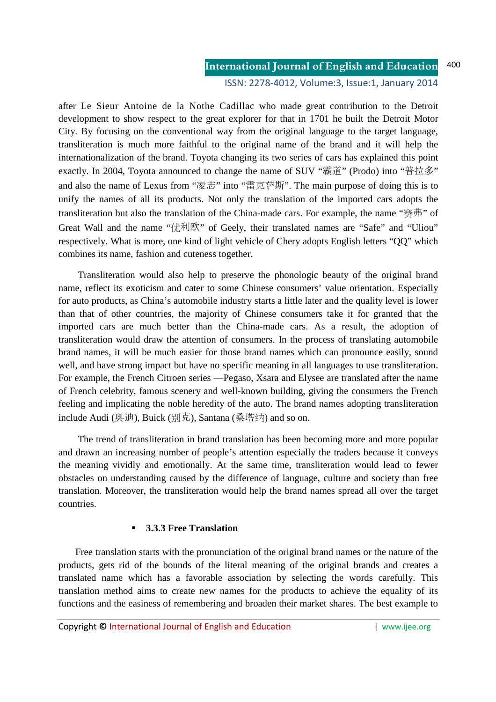#### **International Journal of English and Education** 400

ISSN: 2278-4012, Volume:3, Issue:1, January 2014

after Le Sieur Antoine de la Nothe Cadillac who made great contribution to the Detroit development to show respect to the great explorer for that in 1701 he built the Detroit Motor City. By focusing on the conventional way from the original language to the target language, transliteration is much more faithful to the original name of the brand and it will help the internationalization of the brand. Toyota changing its two series of cars has explained this point exactly. In 2004, Toyota announced to change the name of SUV "霸道" (Prodo) into "普拉多" and also the name of Lexus from "凌志" into "雷克萨斯". The main purpose of doing this is to unify the names of all its products. Not only the translation of the imported cars adopts the transliteration but also the translation of the China-made cars. For example, the name "赛弗" of Great Wall and the name "优利欧" of Geely, their translated names are "Safe" and "Uliou" respectively. What is more, one kind of light vehicle of Chery adopts English letters "QQ" which combines its name, fashion and cuteness together.

Transliteration would also help to preserve the phonologic beauty of the original brand name, reflect its exoticism and cater to some Chinese consumers' value orientation. Especially for auto products, as China's automobile industry starts a little later and the quality level is lower than that of other countries, the majority of Chinese consumers take it for granted that the imported cars are much better than the China-made cars. As a result, the adoption of transliteration would draw the attention of consumers. In the process of translating automobile brand names, it will be much easier for those brand names which can pronounce easily, sound well, and have strong impact but have no specific meaning in all languages to use transliteration. For example, the French Citroen series —Pegaso, Xsara and Elysee are translated after the name of French celebrity, famous scenery and well-known building, giving the consumers the French feeling and implicating the noble heredity of the auto. The brand names adopting transliteration include Audi (奥迪), Buick (别克), Santana (桑塔纳) and so on.

The trend of transliteration in brand translation has been becoming more and more popular and drawn an increasing number of people's attention especially the traders because it conveys the meaning vividly and emotionally. At the same time, transliteration would lead to fewer obstacles on understanding caused by the difference of language, culture and society than free translation. Moreover, the transliteration would help the brand names spread all over the target countries.

#### **3.3.3 Free Translation**

Free translation starts with the pronunciation of the original brand names or the nature of the products, gets rid of the bounds of the literal meaning of the original brands and creates a translated name which has a favorable association by selecting the words carefully. This translation method aims to create new names for the products to achieve the equality of its functions and the easiness of remembering and broaden their market shares. The best example to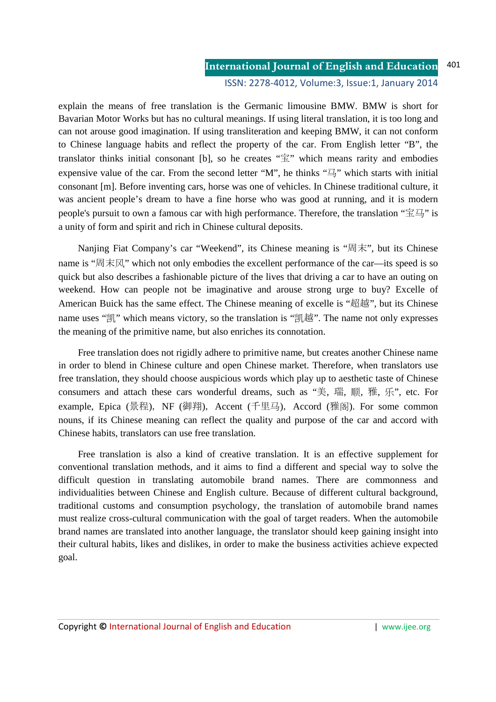#### **International Journal of English and Education** 401

ISSN: 2278-4012, Volume:3, Issue:1, January 2014

explain the means of free translation is the Germanic limousine BMW. BMW is short for Bavarian Motor Works but has no cultural meanings. If using literal translation, it is too long and can not arouse good imagination. If using transliteration and keeping BMW, it can not conform to Chinese language habits and reflect the property of the car. From English letter "B", the translator thinks initial consonant [b], so he creates " $\hat{\Xi}$ " which means rarity and embodies expensive value of the car. From the second letter "M", he thinks "马" which starts with initial consonant [m]. Before inventing cars, horse was one of vehicles. In Chinese traditional culture, it was ancient people's dream to have a fine horse who was good at running, and it is modern people's pursuit to own a famous car with high performance. Therefore, the translation "宝马" is a unity of form and spirit and rich in Chinese cultural deposits.

Nanjing Fiat Company's car "Weekend", its Chinese meaning is "周末", but its Chinese name is "周末风" which not only embodies the excellent performance of the car—its speed is so quick but also describes a fashionable picture of the lives that driving a car to have an outing on weekend. How can people not be imaginative and arouse strong urge to buy? Excelle of American Buick has the same effect. The Chinese meaning of excelle is "超越", but its Chinese name uses "凯" which means victory, so the translation is "凯越". The name not only expresses the meaning of the primitive name, but also enriches its connotation.

Free translation does not rigidly adhere to primitive name, but creates another Chinese name in order to blend in Chinese culture and open Chinese market. Therefore, when translators use free translation, they should choose auspicious words which play up to aesthetic taste of Chinese consumers and attach these cars wonderful dreams, such as "美, 瑞, 顺, 雅, 乐", etc. For example, Epica (景程), NF (御翔), Accent (千里马), Accord (雅阁). For some common nouns, if its Chinese meaning can reflect the quality and purpose of the car and accord with Chinese habits, translators can use free translation.

Free translation is also a kind of creative translation. It is an effective supplement for conventional translation methods, and it aims to find a different and special way to solve the difficult question in translating automobile brand names. There are commonness and individualities between Chinese and English culture. Because of different cultural background, traditional customs and consumption psychology, the translation of automobile brand names must realize cross-cultural communication with the goal of target readers. When the automobile brand names are translated into another language, the translator should keep gaining insight into their cultural habits, likes and dislikes, in order to make the business activities achieve expected goal.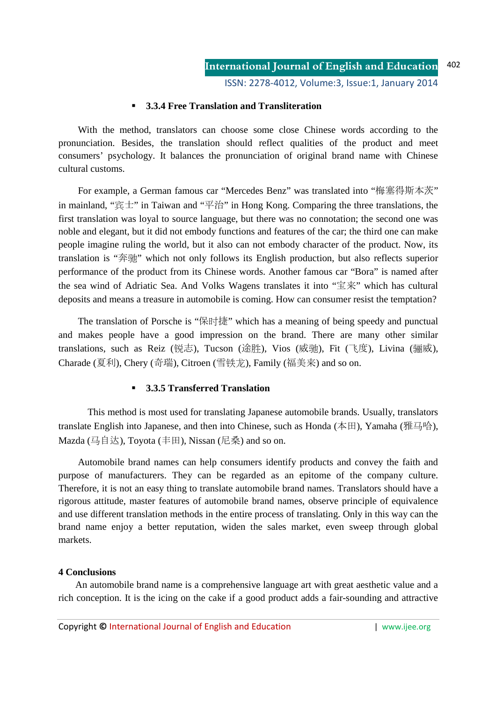ISSN: 2278-4012, Volume:3, Issue:1, January 2014

# **3.3.4 Free Translation and Transliteration**

With the method, translators can choose some close Chinese words according to the pronunciation. Besides, the translation should reflect qualities of the product and meet consumers' psychology. It balances the pronunciation of original brand name with Chinese cultural customs.

For example, a German famous car "Mercedes Benz" was translated into "梅塞得斯本茨" in mainland, "宾士" in Taiwan and "平治" in Hong Kong. Comparing the three translations, the first translation was loyal to source language, but there was no connotation; the second one was noble and elegant, but it did not embody functions and features of the car; the third one can make people imagine ruling the world, but it also can not embody character of the product. Now, its translation is "奔驰" which not only follows its English production, but also reflects superior performance of the product from its Chinese words. Another famous car "Bora" is named after the sea wind of Adriatic Sea. And Volks Wagens translates it into "宝来" which has cultural deposits and means a treasure in automobile is coming. How can consumer resist the temptation?

The translation of Porsche is "保时捷" which has a meaning of being speedy and punctual and makes people have a good impression on the brand. There are many other similar translations, such as Reiz (锐志), Tucson (途胜), Vios (威驰), Fit (飞度), Livina (骊威), Charade (夏利), Chery (奇瑞), Citroen (雪铁铁), Family (福美来) and so on.

# **3.3.5 Transferred Translation**

 This method is most used for translating Japanese automobile brands. Usually, translators translate English into Japanese, and then into Chinese, such as Honda (本田), Yamaha (雅马哈), Mazda (马自达), Toyota (丰田), Nissan (尼桑) and so on.

Automobile brand names can help consumers identify products and convey the faith and purpose of manufacturers. They can be regarded as an epitome of the company culture. Therefore, it is not an easy thing to translate automobile brand names. Translators should have a rigorous attitude, master features of automobile brand names, observe principle of equivalence and use different translation methods in the entire process of translating. Only in this way can the brand name enjoy a better reputation, widen the sales market, even sweep through global markets.

#### **4 Conclusions**

An automobile brand name is a comprehensive language art with great aesthetic value and a rich conception. It is the icing on the cake if a good product adds a fair-sounding and attractive